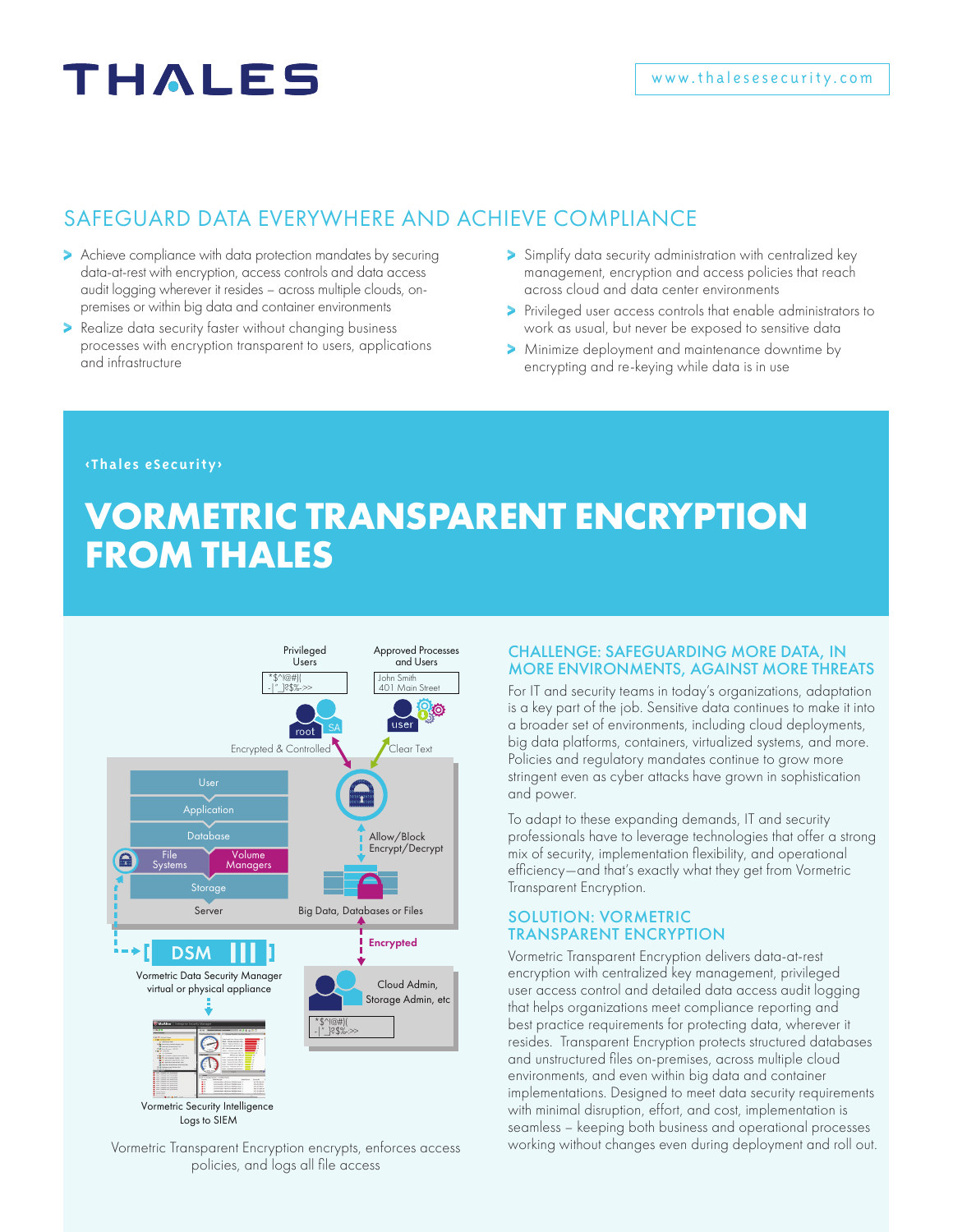## **THALES**

#### SAFEGUARD DATA EVERYWHERE AND ACHIEVE COMPLIANCE

- > Achieve compliance with data protection mandates by securing data-at-rest with encryption, access controls and data access audit logging wherever it resides – across multiple clouds, onpremises or within big data and container environments
- **>** Realize data security faster without changing business processes with encryption transparent to users, applications and infrastructure
- Simplify data security administration with centralized key management, encryption and access policies that reach across cloud and data center environments
- Privileged user access controls that enable administrators to work as usual, but never be exposed to sensitive data
- Minimize deployment and maintenance downtime by encrypting and re-keying while data is in use

#### **<Thales eSecurity>**

## **VORMETRIC TRANSPARENT ENCRYPTION FROM THALES**



policies, and logs all file access

#### CHALLENGE: SAFEGUARDING MORE DATA, IN MORE ENVIRONMENTS, AGAINST MORE THREATS

For IT and security teams in today's organizations, adaptation is a key part of the job. Sensitive data continues to make it into a broader set of environments, including cloud deployments, big data platforms, containers, virtualized systems, and more. Policies and regulatory mandates continue to grow more stringent even as cyber attacks have grown in sophistication and power.

To adapt to these expanding demands, IT and security professionals have to leverage technologies that offer a strong mix of security, implementation flexibility, and operational efficiency—and that's exactly what they get from Vormetric Transparent Encryption.

#### SOLUTION: VORMETRIC TRANSPARENT ENCRYPTION

Vormetric Transparent Encryption delivers data-at-rest encryption with centralized key management, privileged user access control and detailed data access audit logging that helps organizations meet compliance reporting and best practice requirements for protecting data, wherever it resides. Transparent Encryption protects structured databases and unstructured files on-premises, across multiple cloud environments, and even within big data and container implementations. Designed to meet data security requirements with minimal disruption, effort, and cost, implementation is seamless – keeping both business and operational processes Vormetric Transparent Encryption encrypts, enforces access working without changes even during deployment and roll out.